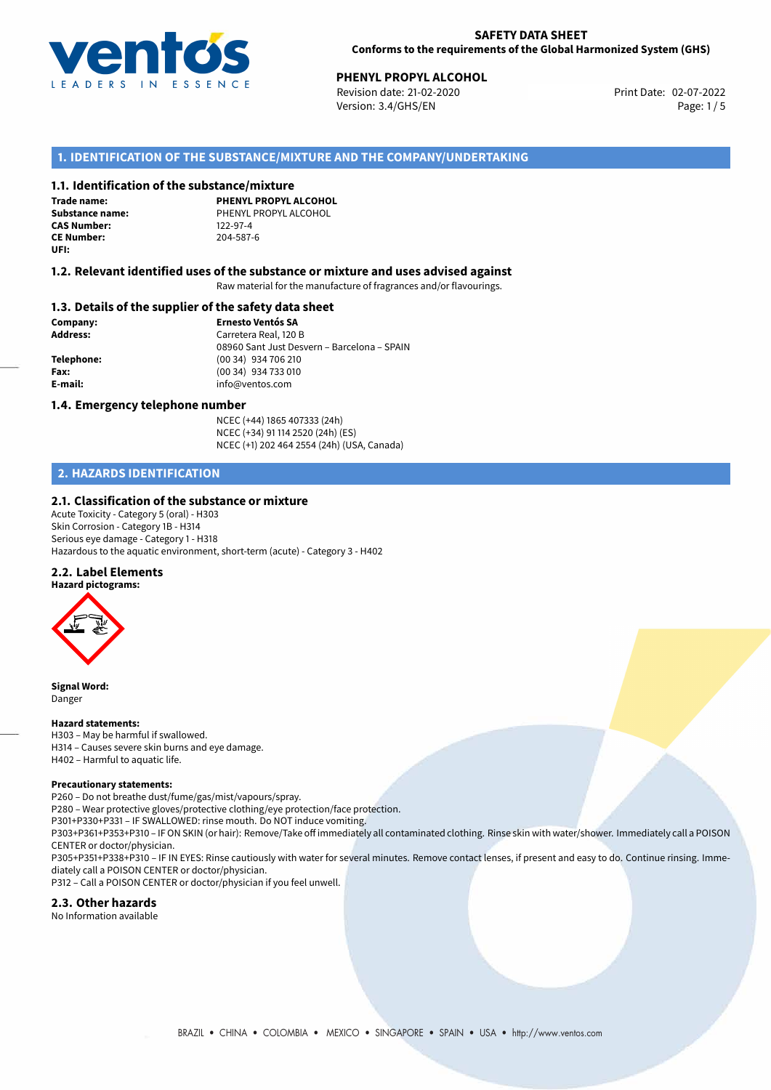

# **PHENYL PROPYL ALCOHOL**<br> **Devision date: 21-02-2020**<br> **Print Date: 02-07-2022**

Revision date: 21-02-2020 Version: 3.4/GHS/EN Page: 1/5

# **1. IDENTIFICATION OF THE SUBSTANCE/MIXTURE AND THE COMPANY/UNDERTAKING**

### **1.1. Identification of the substance/mixture**

**Trade name: CAS Number: CE Number:** 204-587-6 **UFI:**

**PHENYL PROPYL ALCOHOL Substance name:** PHENYL PROPYL ALCOHOL<br> **CAS Number:** 122-97-4

### **1.2. Relevant identified uses of the substance or mixture and uses advised against**

Raw material for the manufacture of fragrances and/or flavourings.

#### **1.3. Details of the supplier of the safety data sheet**

**Company: Ernesto Ventós SA Address:** Carretera Real, 120 B 08960 Sant Just Desvern – Barcelona – SPAIN **Telephone:** (00 34) 934 706 210 **Fax:** (00 34) 934 733 010 **E-mail:** info@ventos.com

#### **1.4. Emergency telephone number**

NCEC (+44) 1865 407333 (24h) NCEC (+34) 91 114 2520 (24h) (ES) NCEC (+1) 202 464 2554 (24h) (USA, Canada)

# **2. HAZARDS IDENTIFICATION**

### **2.1. Classification of the substance or mixture**

Acute Toxicity - Category 5 (oral) - H303 Skin Corrosion - Category 1B - H314 Serious eye damage - Category 1 - H318 Hazardous to the aquatic environment, short-term (acute) - Category 3 - H402

#### **2.2. Label Elements**



**Signal Word:** Danger

#### **Hazard statements:**

H303 – May be harmful if swallowed. H314 – Causes severe skin burns and eye damage. H402 – Harmful to aquatic life.

#### **Precautionary statements:**

P260 – Do not breathe dust/fume/gas/mist/vapours/spray.

P280 – Wear protective gloves/protective clothing/eye protection/face protection.

P301+P330+P331 – IF SWALLOWED: rinse mouth. Do NOT induce vomiting.

P303+P361+P353+P310 – IF ON SKIN (or hair): Remove/Take off immediately all contaminated clothing. Rinse skin with water/shower. Immediately call a POISON CENTER or doctor/physician.

P305+P351+P338+P310 – IF IN EYES: Rinse cautiously with water for several minutes. Remove contact lenses, if present and easy to do. Continue rinsing. Immediately call a POISON CENTER or doctor/physician.

P312 – Call a POISON CENTER or doctor/physician if you feel unwell.

### **2.3. Other hazards**

No Information available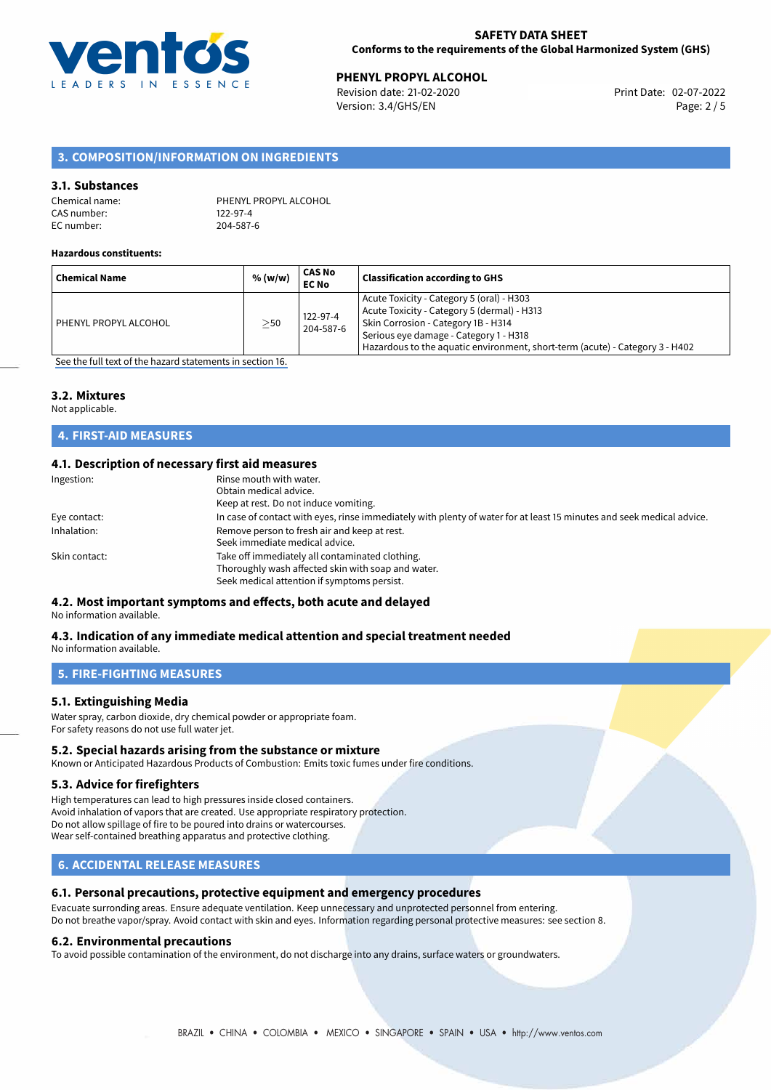

**PHENYL PROPYL ALCOHOL**<br>
Revision date: 21-02-2020 **Print Date: 02-07-2022** Version: 3.4/GHS/EN Page: 2 / 5

# **3. COMPOSITION/INFORMATION ON INGREDIENTS**

#### **3.1. Substances**

| Chemical name: | PHENYL PROPYL ALCOHOL |
|----------------|-----------------------|
| CAS number:    | 122-97-4              |
| EC number:     | 204-587-6             |

#### **Hazardous constituents:**

|                            |           | <b>EC No</b>          |                                                                                                                                                                                                                                                           |
|----------------------------|-----------|-----------------------|-----------------------------------------------------------------------------------------------------------------------------------------------------------------------------------------------------------------------------------------------------------|
| PHENYL PROPYL ALCOHOL<br>. | $\geq$ 50 | 122-97-4<br>204-587-6 | Acute Toxicity - Category 5 (oral) - H303<br>Acute Toxicity - Category 5 (dermal) - H313<br>Skin Corrosion - Category 1B - H314<br>Serious eye damage - Category 1 - H318<br>Hazardous to the aquatic environment, short-term (acute) - Category 3 - H402 |

[See the full text of the hazard statements in section 16.](#page-4-0)

#### **3.2. Mixtures**

Not applicable.

# **4. FIRST-AID MEASURES**

### **4.1. Description of necessary first aid measures**

| Ingestion:    | Rinse mouth with water.<br>Obtain medical advice.<br>Keep at rest. Do not induce vomiting.                                                           |
|---------------|------------------------------------------------------------------------------------------------------------------------------------------------------|
|               |                                                                                                                                                      |
| Eye contact:  | In case of contact with eyes, rinse immediately with plenty of water for at least 15 minutes and seek medical advice.                                |
| Inhalation:   | Remove person to fresh air and keep at rest.<br>Seek immediate medical advice.                                                                       |
| Skin contact: | Take off immediately all contaminated clothing.<br>Thoroughly wash affected skin with soap and water.<br>Seek medical attention if symptoms persist. |

# **4.2. Most important symptoms and effects, both acute and delayed**

No information available.

#### **4.3. Indication of any immediate medical attention and special treatment needed** No information available.

**5. FIRE-FIGHTING MEASURES**

# **5.1. Extinguishing Media**

Water spray, carbon dioxide, dry chemical powder or appropriate foam. For safety reasons do not use full water jet.

#### **5.2. Special hazards arising from the substance or mixture**

Known or Anticipated Hazardous Products of Combustion: Emits toxic fumes under fire conditions.

#### **5.3. Advice for firefighters**

High temperatures can lead to high pressures inside closed containers. Avoid inhalation of vapors that are created. Use appropriate respiratory protection. Do not allow spillage of fire to be poured into drains or watercourses. Wear self-contained breathing apparatus and protective clothing.

# **6. ACCIDENTAL RELEASE MEASURES**

### **6.1. Personal precautions, protective equipment and emergency procedures**

Evacuate surronding areas. Ensure adequate ventilation. Keep unnecessary and unprotected personnel from entering. Do not breathe vapor/spray. Avoid contact with skin and eyes. Information regarding personal protective measures: see section 8.

#### **6.2. Environmental precautions**

To avoid possible contamination of the environment, do not discharge into any drains, surface waters or groundwaters.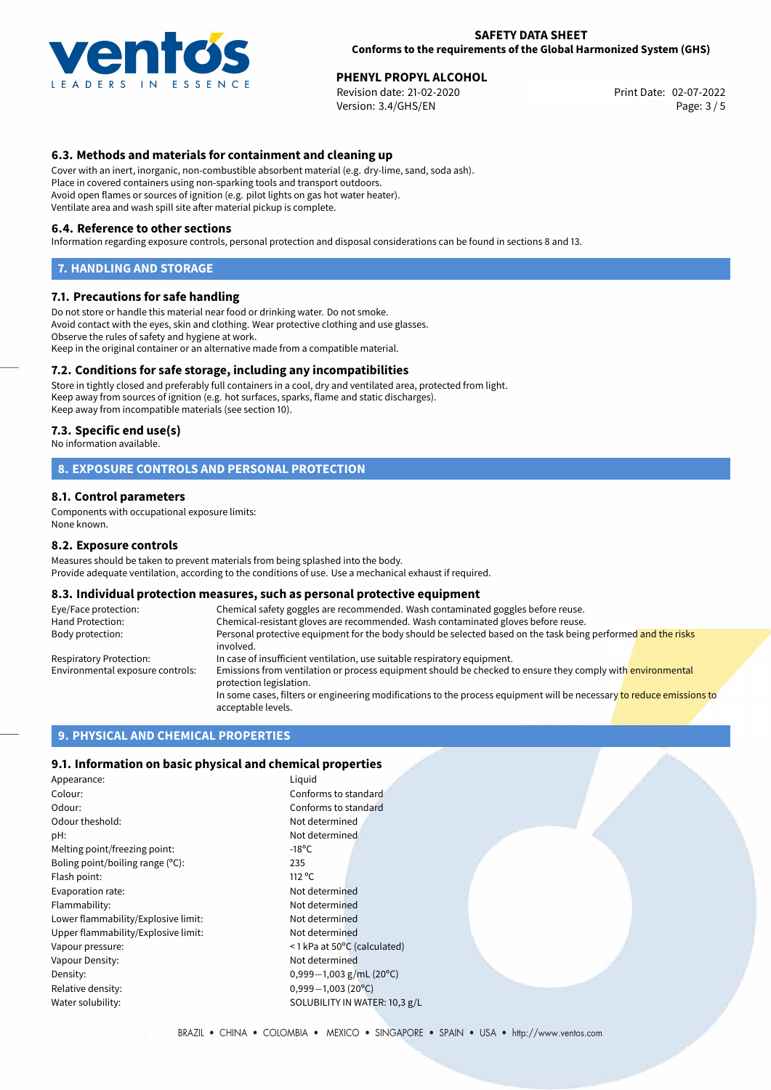

**PHENYL PROPYL ALCOHOL**<br>
Revision date: 21-02-2020 **Print Date: 02-07-2022** Version: 3.4/GHS/EN Page: 3 / 5

# **6.3. Methods and materials for containment and cleaning up**

Cover with an inert, inorganic, non-combustible absorbent material (e.g. dry-lime, sand, soda ash). Place in covered containers using non-sparking tools and transport outdoors. Avoid open flames or sources of ignition (e.g. pilot lights on gas hot water heater). Ventilate area and wash spill site after material pickup is complete.

#### **6.4. Reference to other sections**

Information regarding exposure controls, personal protection and disposal considerations can be found in sections 8 and 13.

#### **7. HANDLING AND STORAGE**

#### **7.1. Precautions for safe handling**

Do not store or handle this material near food or drinking water. Do not smoke. Avoid contact with the eyes, skin and clothing. Wear protective clothing and use glasses. Observe the rules of safety and hygiene at work. Keep in the original container or an alternative made from a compatible material.

### **7.2. Conditions for safe storage, including any incompatibilities**

Store in tightly closed and preferably full containers in a cool, dry and ventilated area, protected from light. Keep away from sources of ignition (e.g. hot surfaces, sparks, flame and static discharges). Keep away from incompatible materials (see section 10).

#### **7.3. Specific end use(s)**

No information available.

### **8. EXPOSURE CONTROLS AND PERSONAL PROTECTION**

#### **8.1. Control parameters**

Components with occupational exposure limits: None known.

#### **8.2. Exposure controls**

Measures should be taken to prevent materials from being splashed into the body. Provide adequate ventilation, according to the conditions of use. Use a mechanical exhaust if required.

#### **8.3. Individual protection measures, such as personal protective equipment**

| Eye/Face protection:             | Chemical safety goggles are recommended. Wash contaminated goggles before reuse.                                                            |  |  |
|----------------------------------|---------------------------------------------------------------------------------------------------------------------------------------------|--|--|
| Hand Protection:                 | Chemical-resistant gloves are recommended. Wash contaminated gloves before reuse.                                                           |  |  |
| Body protection:                 | Personal protective equipment for the body should be selected based on the task being performed and the risks<br>involved.                  |  |  |
| Respiratory Protection:          | In case of insufficient ventilation, use suitable respiratory equipment.                                                                    |  |  |
| Environmental exposure controls: | Emissions from ventilation or process equipment should be checked to ensure they comply with environmental<br>protection legislation.       |  |  |
|                                  | In some cases, filters or engineering modifications to the process equipment will be necessary to reduce emissions to<br>acceptable levels. |  |  |

#### **9. PHYSICAL AND CHEMICAL PROPERTIES**

### **9.1. Information on basic physical and chemical properties**

| Appearance:                         | Liguid          |
|-------------------------------------|-----------------|
| Colour:                             | Confo           |
| Odour:                              | Confo           |
| Odour theshold:                     | Not de          |
| pH:                                 | Not de          |
| Melting point/freezing point:       | $-18^{\circ}$ C |
| Boling point/boiling range (°C):    | 235             |
| Flash point:                        | $112^{\circ}$ C |
| Evaporation rate:                   | Not de          |
| Flammability:                       | Not de          |
| Lower flammability/Explosive limit: | Not de          |
| Upper flammability/Explosive limit: | Not de          |
| Vapour pressure:                    | ≤1 kPa          |
| Vapour Density:                     | Not de          |
| Density:                            | $0,999-$        |
| Relative density:                   | $0,999-$        |
| Water solubility:                   | <b>SOLUE</b>    |

Not determined Not determined Not determined Not determined Not determined Not determined < 1 kPa at 50°C (calculated) Not determined Density: 0,999*−*1,003 g/mL (20ºC) Relative density: 0,999*−*1,003 (20ºC) SOLUBILITY IN WATER: 10,3 g/L

Conforms to standard Conforms to standard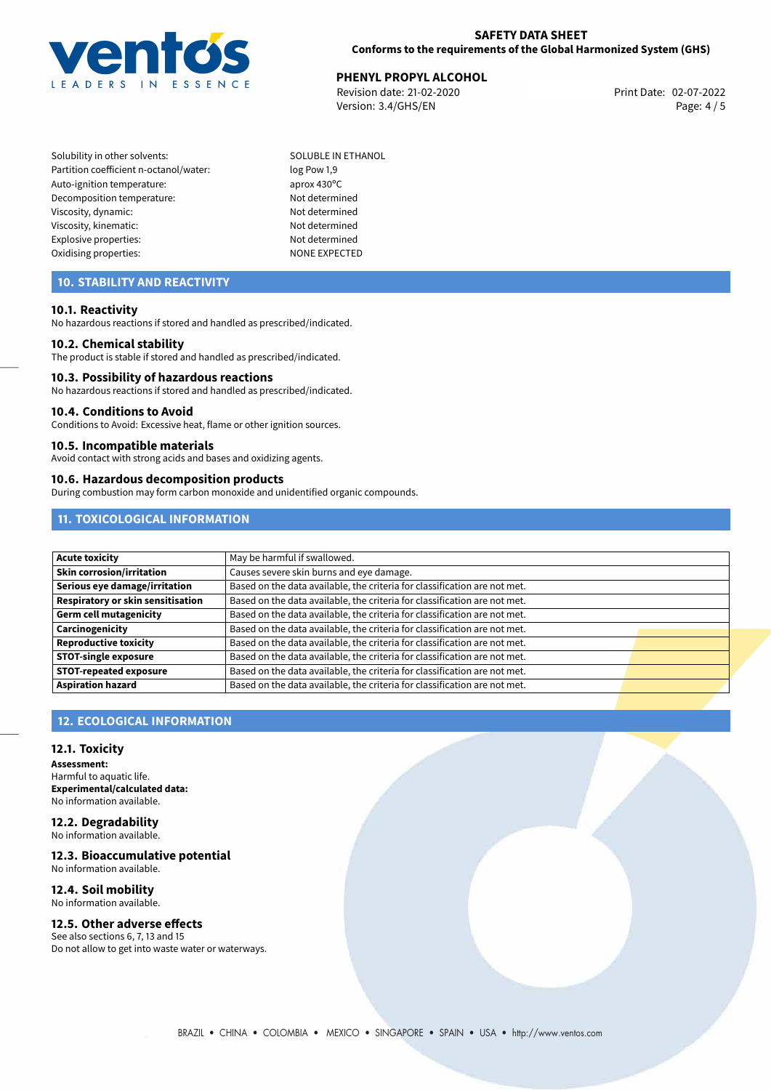

# **PHENYL PROPYL ALCOHOL**<br> **Devision date: 21-02-2020**<br> **Print Date: 02-07-2022**

Revision date: 21-02-2020 Version: 3.4/GHS/EN Page: 4 / 5

Solubility in other solvents: SOLUBLE IN ETHANOL Partition coefficient n-octanol/water: log Pow 1,9 Auto-ignition temperature: aprox 430°C Decomposition temperature: Not determined Viscosity, dynamic: Not determined Viscosity, kinematic: Not determined Explosive properties: Not determined Oxidising properties: NONE EXPECTED

# **10. STABILITY AND REACTIVITY**

#### **10.1. Reactivity**

No hazardous reactions if stored and handled as prescribed/indicated.

#### **10.2. Chemical stability**

The product is stable if stored and handled as prescribed/indicated.

#### **10.3. Possibility of hazardous reactions**

No hazardous reactions if stored and handled as prescribed/indicated.

#### **10.4. Conditions to Avoid**

Conditions to Avoid: Excessive heat, flame or other ignition sources.

#### **10.5. Incompatible materials**

Avoid contact with strong acids and bases and oxidizing agents.

#### **10.6. Hazardous decomposition products**

During combustion may form carbon monoxide and unidentified organic compounds.

# **11. TOXICOLOGICAL INFORMATION**

| Acute toxicity                    | May be harmful if swallowed.                                              |  |
|-----------------------------------|---------------------------------------------------------------------------|--|
| <b>Skin corrosion/irritation</b>  | Causes severe skin burns and eye damage.                                  |  |
| Serious eye damage/irritation     | Based on the data available, the criteria for classification are not met. |  |
| Respiratory or skin sensitisation | Based on the data available, the criteria for classification are not met. |  |
| Germ cell mutagenicity            | Based on the data available, the criteria for classification are not met. |  |
| <b>Carcinogenicity</b>            | Based on the data available, the criteria for classification are not met. |  |
| Reproductive toxicity             | Based on the data available, the criteria for classification are not met. |  |
| <b>STOT-single exposure</b>       | Based on the data available, the criteria for classification are not met. |  |
| <b>STOT-repeated exposure</b>     | Based on the data available, the criteria for classification are not met. |  |
| <b>Aspiration hazard</b>          | Based on the data available, the criteria for classification are not met. |  |

# **12. ECOLOGICAL INFORMATION**

#### **12.1. Toxicity**

**Assessment:** Harmful to aquatic life. **Experimental/calculated data:** No information available.

**12.2. Degradability** No information available.

### **12.3. Bioaccumulative potential**

No information available.

#### **12.4. Soil mobility** No information available.

### **12.5. Other adverse effects**

See also sections 6, 7, 13 and 15 Do not allow to get into waste water or waterways.